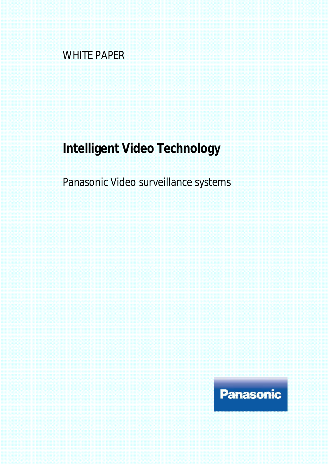WHITE PAPER

# **Intelligent Video Technology**

Panasonic Video surveillance systems

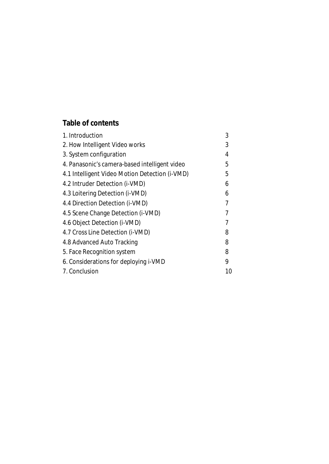# **Table of contents**

| 1. Introduction                                | 3  |
|------------------------------------------------|----|
| 2. How Intelligent Video works                 | 3  |
| 3. System configuration                        | 4  |
| 4. Panasonic's camera-based intelligent video  | 5  |
| 4.1 Intelligent Video Motion Detection (i-VMD) | 5  |
| 4.2 Intruder Detection (i-VMD)                 | 6  |
| 4.3 Loitering Detection (i-VMD)                | 6  |
| 4.4 Direction Detection (i-VMD)                | 7  |
| 4.5 Scene Change Detection (i-VMD)             |    |
| 4.6 Object Detection (i-VMD)                   | 7  |
| 4.7 Cross Line Detection (i-VMD)               | 8  |
| 4.8 Advanced Auto Tracking                     | 8  |
| 5. Face Recognition system                     | 8  |
| 6. Considerations for deploying i-VMD          | 9  |
| 7. Conclusion                                  | 10 |
|                                                |    |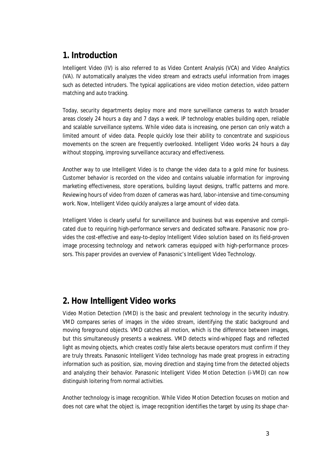## **1. Introduction**

Intelligent Video (IV) is also referred to as Video Content Analysis (VCA) and Video Analytics (VA). IV automatically analyzes the video stream and extracts useful information from images such as detected intruders. The typical applications are video motion detection, video pattern matching and auto tracking.

Today, security departments deploy more and more surveillance cameras to watch broader areas closely 24 hours a day and 7 days a week. IP technology enables building open, reliable and scalable surveillance systems. While video data is increasing, one person can only watch a limited amount of video data. People quickly lose their ability to concentrate and suspicious movements on the screen are frequently overlooked. Intelligent Video works 24 hours a day without stopping, improving surveillance accuracy and effectiveness.

Another way to use Intelligent Video is to change the video data to a gold mine for business. Customer behavior is recorded on the video and contains valuable information for improving marketing effectiveness, store operations, building layout designs, traffic patterns and more. Reviewing hours of video from dozen of cameras was hard, labor-intensive and time-consuming work. Now, Intelligent Video quickly analyzes a large amount of video data.

Intelligent Video is clearly useful for surveillance and business but was expensive and complicated due to requiring high-performance servers and dedicated software. Panasonic now provides the cost-effective and easy-to-deploy Intelligent Video solution based on its field-proven image processing technology and network cameras equipped with high-performance processors. This paper provides an overview of Panasonic's Intelligent Video Technology.

# **2. How Intelligent Video works**

Video Motion Detection (VMD) is the basic and prevalent technology in the security industry. VMD compares series of images in the video stream, identifying the static background and moving foreground objects. VMD catches all motion, which is the difference between images, but this simultaneously presents a weakness. VMD detects wind-whipped flags and reflected light as moving objects, which creates costly false alerts because operators must confirm if they are truly threats. Panasonic Intelligent Video technology has made great progress in extracting information such as position, size, moving direction and staying time from the detected objects and analyzing their behavior. Panasonic Intelligent Video Motion Detection (i-VMD) can now distinguish loitering from normal activities.

Another technology is image recognition. While Video Motion Detection focuses on motion and does not care what the object is, image recognition identifies the target by using its shape char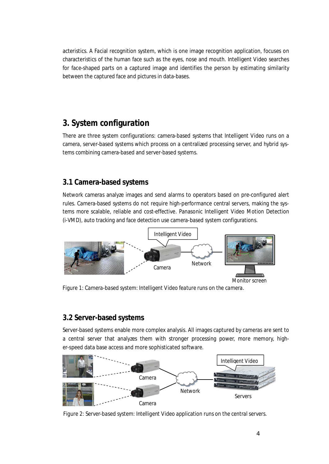acteristics. A Facial recognition system, which is one image recognition application, focuses on characteristics of the human face such as the eyes, nose and mouth. Intelligent Video searches for face-shaped parts on a captured image and identifies the person by estimating similarity between the captured face and pictures in data-bases.

# **3. System configuration**

There are three system configurations: camera-based systems that Intelligent Video runs on a camera, server-based systems which process on a centralized processing server, and hybrid systems combining camera-based and server-based systems.

## **3.1 Camera-based systems**

Network cameras analyze images and send alarms to operators based on pre-configured alert rules. Camera-based systems do not require high-performance central servers, making the systems more scalable, reliable and cost-effective. Panasonic Intelligent Video Motion Detection (i-VMD), auto tracking and face detection use camera-based system configurations.



*Figure 1: Camera-based system: Intelligent Video feature runs on the camera.*

## **3.2 Server-based systems**

Server-based systems enable more complex analysis. All images captured by cameras are sent to a central server that analyzes them with stronger processing power, more memory, higher-speed data base access and more sophisticated software.



*Figure 2: Server-based system: Intelligent Video application runs on the central servers.*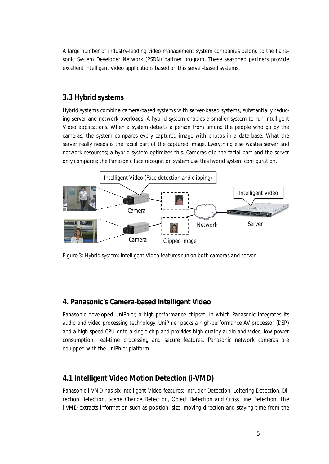A large number of industry-leading video management system companies belong to the Panasonic System Developer Network (PSDN) partner program. These seasoned partners provide excellent Intelligent Video applications based on this server-based systems.

#### **3.3 Hybrid systems**

Hybrid systems combine camera-based systems with server-based systems, substantially reducing server and network overloads. A hybrid system enables a smaller system to run Intelligent Video applications. When a system detects a person from among the people who go by the cameras, the system compares every captured image with photos in a data-base. What the server really needs is the facial part of the captured image. Everything else wastes server and network resources; a hybrid system optimizes this. Cameras clip the facial part and the server only compares; the Panasonic face recognition system use this hybrid system configuration.



*Figure 3: Hybrid system: Intelligent Video features run on both cameras and server.*

#### **4. Panasonic's Camera-based Intelligent Video**

Panasonic developed UniPhier, a high-performance chipset, in which Panasonic integrates its audio and video processing technology. UniPhier packs a high-performance AV processor (DSP) and a high-speed CPU onto a single chip and provides high-quality audio and video, low power consumption, real-time processing and secure features. Panasonic network cameras are equipped with the UniPhier platform.

## **4.1 Intelligent Video Motion Detection (i-VMD)**

Panasonic i-VMD has six Intelligent Video features: Intruder Detection, Loitering Detection, Direction Detection, Scene Change Detection, Object Detection and Cross Line Detection. The i-VMD extracts information such as position, size, moving direction and staying time from the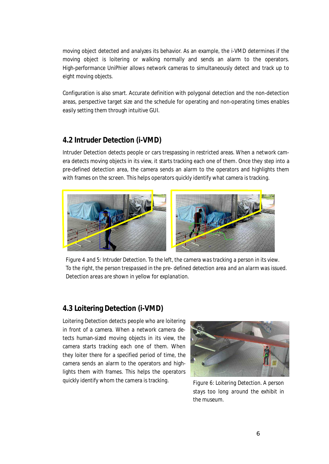moving object detected and analyzes its behavior. As an example, the i-VMD determines if the moving object is loitering or walking normally and sends an alarm to the operators. High-performance UniPhier allows network cameras to simultaneously detect and track up to eight moving objects.

Configuration is also smart. Accurate definition with polygonal detection and the non-detection areas, perspective target size and the schedule for operating and non-operating times enables easily setting them through intuitive GUI.

#### **4.2 Intruder Detection (i-VMD)**

Intruder Detection detects people or cars trespassing in restricted areas. When a network camera detects moving objects in its view, it starts tracking each one of them. Once they step into a pre-defined detection area, the camera sends an alarm to the operators and highlights them with frames on the screen. This helps operators quickly identify what camera is tracking.



*Figure 4 and 5: Intruder Detection. To the left, the camera was tracking a person in its view. To the right, the person trespassed in the pre- defined detection area and an alarm was issued. Detection areas are shown in yellow for explanation.*

## **4.3 Loitering Detection (i-VMD)**

Loitering Detection detects people who are loitering in front of a camera. When a network camera detects human-sized moving objects in its view, the camera starts tracking each one of them. When they loiter there for a specified period of time, the camera sends an alarm to the operators and highlights them with frames. This helps the operators quickly identify whom the camera is tracking.



*Figure 6: Loitering Detection. A person stays too long around the exhibit in the museum.*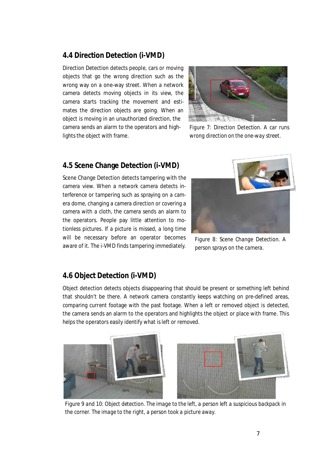#### **4.4 Direction Detection (i-VMD)**

Direction Detection detects people, cars or moving objects that go the wrong direction such as the wrong way on a one-way street. When a network camera detects moving objects in its view, the camera starts tracking the movement and estimates the direction objects are going. When an object is moving in an unauthorized direction, the camera sends an alarm to the operators and highlights the object with frame.



*Figure 7: Direction Detection. A car runs wrong direction on the one-way street.*

#### **4.5 Scene Change Detection (i-VMD)**

Scene Change Detection detects tampering with the camera view. When a network camera detects interference or tampering such as spraying on a camera dome, changing a camera direction or covering a camera with a cloth, the camera sends an alarm to the operators. People pay little attention to motionless pictures. If a picture is missed, a long time will be necessary before an operator becomes aware of it. The i-VMD finds tampering immediately.



*Figure 8: Scene Change Detection. A person sprays on the camera.*

## **4.6 Object Detection (i-VMD)**

Object detection detects objects disappearing that should be present or something left behind that shouldn't be there. A network camera constantly keeps watching on pre-defined areas, comparing current footage with the past footage. When a left or removed object is detected, the camera sends an alarm to the operators and highlights the object or place with frame. This helps the operators easily identify what is left or removed.



*Figure 9 and 10: Object detection. The image to the left, a person left a suspicious backpack in the corner. The image to the right, a person took a picture away.*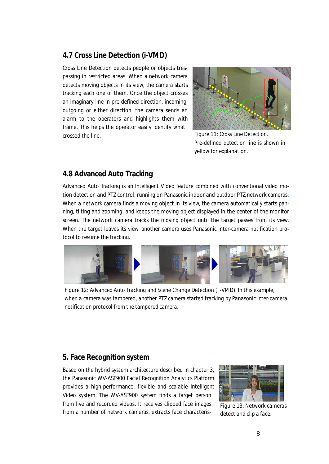## **4.7 Cross Line Detection (i-VMD)**

Cross Line Detection detects people or objects trespassing in restricted areas. When a network camera detects moving objects in its view, the camera starts tracking each one of them. Once the object crosses an imaginary line in pre-defined direction, incoming, outgoing or either direction, the camera sends an alarm to the operators and highlights them with frame. This helps the operator easily identify what crossed the line.



*Figure 11: Cross Line Detection. Pre-defined detection line is shown in yellow for explanation.*

#### **4.8 Advanced Auto Tracking**

Advanced Auto Tracking is an Intelligent Video feature combined with conventional video motion detection and PTZ control, running on Panasonic indoor and outdoor PTZ network cameras. When a network camera finds a moving object in its view, the camera automatically starts panning, tilting and zooming, and keeps the moving object displayed in the center of the monitor screen. The network camera tracks the moving object until the target passes from its view. When the target leaves its view, another camera uses Panasonic inter-camera notification protocol to resume the tracking.



*Figure 12: Advanced Auto Tracking and Scene Change Detection ( i-VMD). In this example, when a camera was tampered, another PTZ camera started tracking by Panasonic inter-camera notification protocol from the tampered camera.*

## **5. Face Recognition system**

Based on the hybrid system architecture described in chapter 3, the Panasonic WV-ASF900 Facial Recognition Analytics Platform provides a high-performance, flexible and scalable Intelligent Video system. The WV-ASF900 system finds a target person from live and recorded videos. It receives clipped face images from a number of network cameras, extracts face characteris-



*Figure 13: Network cameras detect and clip a face.*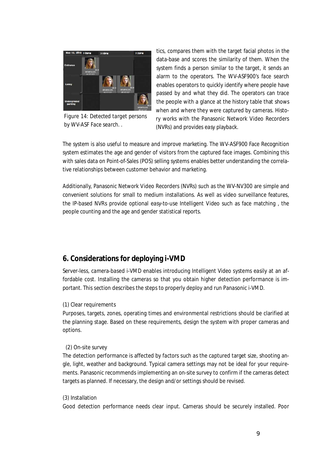

*Figure 14: Detected target persons by WV-ASF Face search. .*

tics, compares them with the target facial photos in the data-base and scores the similarity of them. When the system finds a person similar to the target, it sends an alarm to the operators. The WV-ASF900's face search enables operators to quickly identify where people have passed by and what they did. The operators can trace the people with a glance at the history table that shows when and where they were captured by cameras. History works with the Panasonic Network Video Recorders (NVRs) and provides easy playback.

The system is also useful to measure and improve marketing. The WV-ASF900 Face Recognition system estimates the age and gender of visitors from the captured face images. Combining this with sales data on Point-of-Sales (POS) selling systems enables better understanding the correlative relationships between customer behavior and marketing.

Additionally, Panasonic Network Video Recorders (NVRs) such as the WV-NV300 are simple and convenient solutions for small to medium installations. As well as video surveillance features, the IP-based NVRs provide optional easy-to-use Intelligent Video such as face matching , the people counting and the age and gender statistical reports.

#### **6. Considerations for deploying i-VMD**

Server-less, camera-based i-VMD enables introducing Intelligent Video systems easily at an affordable cost. Installing the cameras so that you obtain higher detection performance is important. This section describes the steps to properly deploy and run Panasonic i-VMD.

#### (1) Clear requirements

Purposes, targets, zones, operating times and environmental restrictions should be clarified at the planning stage. Based on these requirements, design the system with proper cameras and options.

#### (2) On-site survey

The detection performance is affected by factors such as the captured target size, shooting angle, light, weather and background. Typical camera settings may not be ideal for your requirements. Panasonic recommends implementing an on-site survey to confirm if the cameras detect targets as planned. If necessary, the design and/or settings should be revised.

#### (3) Installation

Good detection performance needs clear input. Cameras should be securely installed. Poor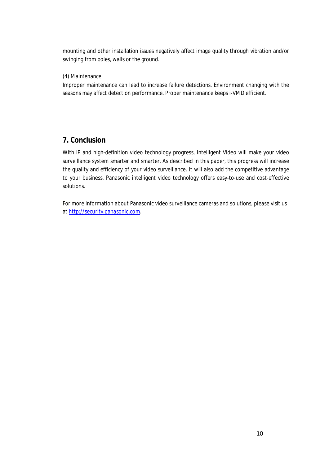mounting and other installation issues negatively affect image quality through vibration and/or swinging from poles, walls or the ground.

#### (4) Maintenance

Improper maintenance can lead to increase failure detections. Environment changing with the seasons may affect detection performance. Proper maintenance keeps i-VMD efficient.

## **7. Conclusion**

With IP and high-definition video technology progress, Intelligent Video will make your video surveillance system smarter and smarter. As described in this paper, this progress will increase the quality and efficiency of your video surveillance. It will also add the competitive advantage to your business. Panasonic intelligent video technology offers easy-to-use and cost-effective solutions.

For more information about Panasonic video surveillance cameras and solutions, please visit us at http://security.panasonic.com.